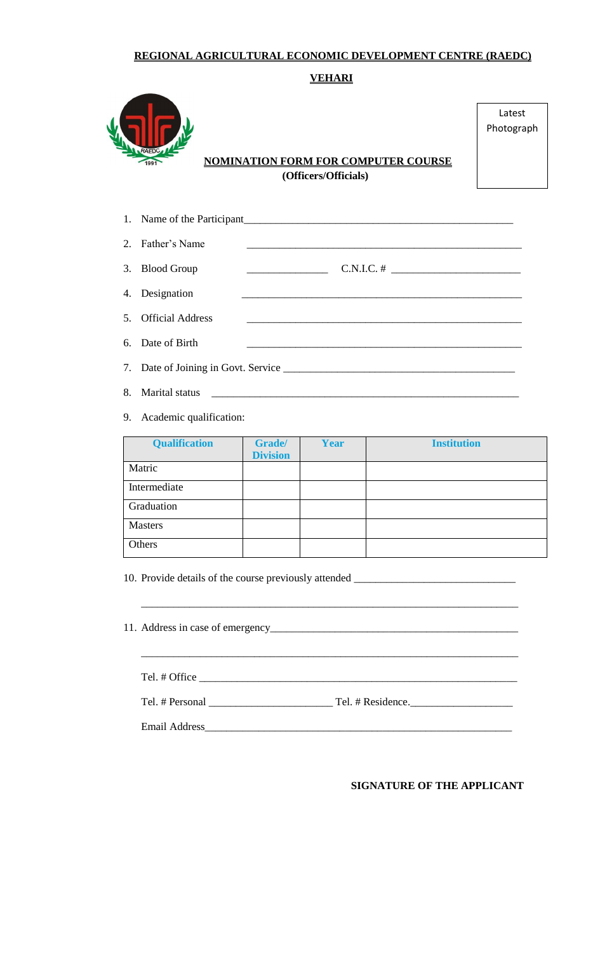#### **REGIONAL AGRICULTURAL ECONOMIC DEVELOPMENT CENTRE (RAEDC)**

**VEHARI**



 **NOMINATION FORM FOR COMPUTER COURSE (Officers/Officials)**

Latest Photograph

# 1. Name of the Participant\_\_\_\_\_\_\_\_\_\_\_\_\_\_\_\_\_\_\_\_\_\_\_\_\_\_\_\_\_\_\_\_\_\_\_\_\_\_\_\_\_\_\_\_\_\_\_\_\_\_ 2. Father's Name 3. Blood Group \_\_\_\_\_\_\_\_\_\_\_\_\_\_\_ C.N.I.C. # \_\_\_\_\_\_\_\_\_\_\_\_\_\_\_\_\_\_\_\_\_\_\_\_ 4. Designation 5. Official Address 6. Date of Birth 7. Date of Joining in Govt. Service \_\_\_\_\_\_\_\_\_\_\_\_\_\_\_\_\_\_\_\_\_\_\_\_\_\_\_\_\_\_\_\_\_\_\_\_\_\_\_\_\_\_\_

- 8. Marital status
- 9. Academic qualification:

| <b>Qualification</b> | Grade/<br><b>Division</b> | <b>Year</b> | <b>Institution</b> |
|----------------------|---------------------------|-------------|--------------------|
| Matric               |                           |             |                    |
| Intermediate         |                           |             |                    |
| Graduation           |                           |             |                    |
| <b>Masters</b>       |                           |             |                    |
| Others               |                           |             |                    |

\_\_\_\_\_\_\_\_\_\_\_\_\_\_\_\_\_\_\_\_\_\_\_\_\_\_\_\_\_\_\_\_\_\_\_\_\_\_\_\_\_\_\_\_\_\_\_\_\_\_\_\_\_\_\_\_\_\_\_\_\_\_\_\_\_\_\_\_\_\_

10. Provide details of the course previously attended \_\_\_\_\_\_\_\_\_\_\_\_\_\_\_\_\_\_\_\_\_\_\_\_\_\_

| Tel. # Office |  |
|---------------|--|
|               |  |
| Email Address |  |

**SIGNATURE OF THE APPLICANT**